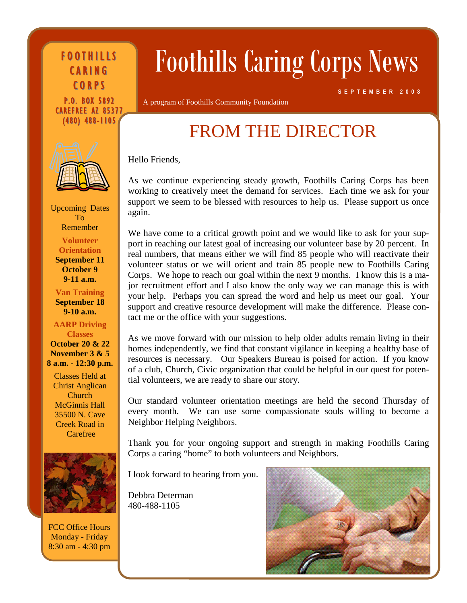FOOTHILLS CARING **CORPS** 

P.O. BOX 5892 CAREFREE AZ 85377 (480) 488-1105



Upcoming Dates To Remember **Volunteer Orientation** 

**September 11 October 9 9-11 a.m.** 

**Van Training September 18 9-10 a.m.** 

**AARP Driving Classes October 20 & 22 November 3 & 5 8 a.m. - 12:30 p.m.** 

Classes Held at Christ Anglican Church McGinnis Hall 35500 N. Cave Creek Road in Carefree



FCC Office Hours Monday - Friday 8:30 am - 4:30 pm

# Foothills Caring Corps News

A program of Foothills Community Foundation

**SEPTEMBER 2008**

# FROM THE DIRECTOR

Hello Friends,

As we continue experiencing steady growth, Foothills Caring Corps has been working to creatively meet the demand for services. Each time we ask for your support we seem to be blessed with resources to help us. Please support us once again.

port in reaching our latest goal of increasing our volunteer base by 20 percent. In real numbers, that means either we will find 85 people who will reactivate their volunteer status or we will orient and train 85 people new to Foothills Caring Corps. We hope to reach our goal within the next 9 months. I know this is a ma-We have come to a critical growth point and we would like to ask for your supjor recruitment effort and I also know the only way we can manage this is with your help. Perhaps you can spread the word and help us meet our goal. Your support and creative resource development will make the difference. Please contact me or the office with your suggestions.

of a club, Church, Civic organization that could be helpful in our quest for potential volunteers, we are ready to share our story. As we move forward with our mission to help older adults remain living in their homes independently, we find that constant vigilance in keeping a healthy base of resources is necessary. Our Speakers Bureau is poised for action. If you know

Our standard volunteer orientation meetings are held the second Thursday of every month. We can use some compassionate souls willing to become a Neighbor Helping Neighbors.

Thank you for your ongoing support and strength in making Foothills Caring Corps a caring "home" to both volunteers and Neighbors.

I look forward to hearing from you.

Debbra Determan 480-488-1105

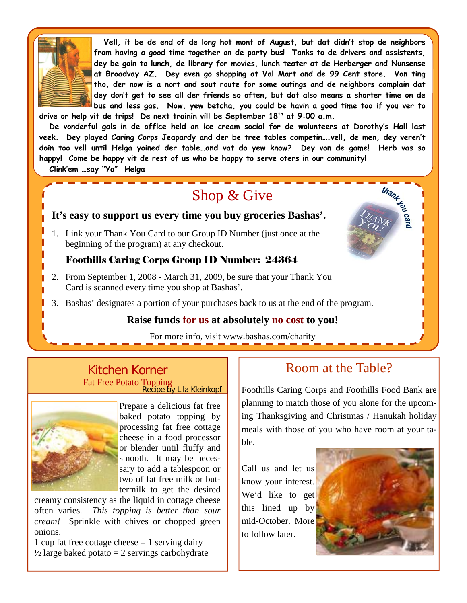

 **Vell, it be de end of de long hot mont of August, but dat didn't stop de neighbors from having a good time together on de party bus! Tanks to de drivers and assistents, dey be goin to lunch, de library for movies, lunch teater at de Herberger and Nunsense at Broadvay AZ. Dey even go shopping at Val Mart and de 99 Cent store. Von ting tho, der now is a nort and sout route for some outings and de neighbors complain dat dey don't get to see all der friends so often, but dat also means a shorter time on de bus and less gas. Now, yew betcha, you could be havin a good time too if you ver to** 

**drive or help vit de trips! De next trainin vill be September 18th at 9:00 a.m.** 

 **De vonderful gals in de office held an ice cream social for de wolunteers at Dorothy's Hall last veek. Dey played Caring Corps Jeapardy and der be tree tables competin….vell, de men, dey veren't doin too vell until Helga yoined der table…and vat do yew know? Dey von de game! Herb vas so happy! Come be happy vit de rest of us who be happy to serve oters in our community!** 

 **Clink'em …say "Ya" Helga** 

## Shop & Give

## **It's easy to support us every time you buy groceries Bashas'.**

1. Link your Thank You Card to our Group ID Number (just once at the beginning of the program) at any checkout.

#### Foothills Caring Corps Group ID Number: 24364

- 2. From September 1, 2008 March 31, 2009, be sure that your Thank You Card is scanned every time you shop at Bashas'.
- 3. Bashas' designates a portion of your purchases back to us at the end of the program.

## **Raise funds for us at absolutely no cost to you!**

For more info, visit www.bashas.com/charity

#### Kitchen Korner Fat Free Potato Topping Recipe by Lila Kleinkopf



Prepare a delicious fat free baked potato topping by processing fat free cottage cheese in a food processor or blender until fluffy and smooth. It may be necessary to add a tablespoon or two of fat free milk or buttermilk to get the desired

creamy consistency as the liquid in cottage cheese often varies. *This topping is better than sour cream!* Sprinkle with chives or chopped green onions.

1 cup fat free cottage cheese  $= 1$  serving dairy  $\frac{1}{2}$  large baked potato = 2 servings carbohydrate

## Room at the Table?

Foothills Caring Corps and Foothills Food Bank are planning to match those of you alone for the upcoming Thanksgiving and Christmas / Hanukah holiday meals with those of you who have room at your table.

Call us and let us know your interest. We'd like to get this lined up by mid-October. More to follow later.



**Thank read**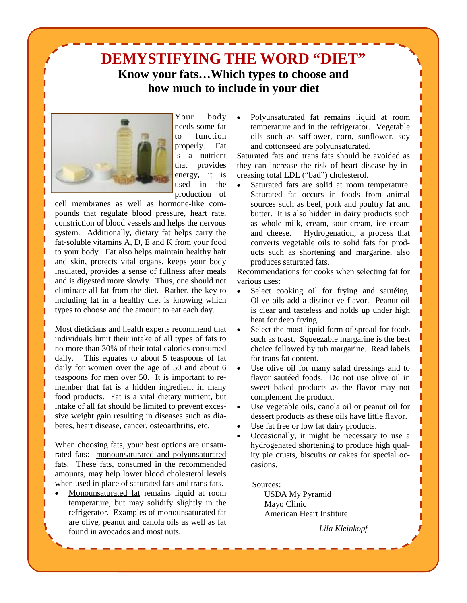



Your body needs some fat to function properly. Fat is a nutrient that provides energy, it is used in the production of

cell membranes as well as hormone-like compounds that regulate blood pressure, heart rate, constriction of blood vessels and helps the nervous system. Additionally, dietary fat helps carry the fat-soluble vitamins A, D, E and K from your food to your body. Fat also helps maintain healthy hair and skin, protects vital organs, keeps your body insulated, provides a sense of fullness after meals and is digested more slowly. Thus, one should not eliminate all fat from the diet. Rather, the key to including fat in a healthy diet is knowing which types to choose and the amount to eat each day.

Most dieticians and health experts recommend that individuals limit their intake of all types of fats to no more than 30% of their total calories consumed daily. This equates to about 5 teaspoons of fat daily for women over the age of 50 and about 6 teaspoons for men over 50. It is important to remember that fat is a hidden ingredient in many food products. Fat is a vital dietary nutrient, but intake of all fat should be limited to prevent excessive weight gain resulting in diseases such as diabetes, heart disease, cancer, osteoarthritis, etc.

When choosing fats, your best options are unsaturated fats: monounsaturated and polyunsaturated fats. These fats, consumed in the recommended amounts, may help lower blood cholesterol levels when used in place of saturated fats and trans fats.

• Monounsaturated fat remains liquid at room temperature, but may solidify slightly in the refrigerator. Examples of monounsaturated fat are olive, peanut and canola oils as well as fat found in avocados and most nuts.

• Polyunsaturated fat remains liquid at room temperature and in the refrigerator. Vegetable oils such as safflower, corn, sunflower, soy and cottonseed are polyunsaturated.

Saturated fats and trans fats should be avoided as they can increase the risk of heart disease by increasing total LDL ("bad") cholesterol.

Saturated fats are solid at room temperature. Saturated fat occurs in foods from animal sources such as beef, pork and poultry fat and butter. It is also hidden in dairy products such as whole milk, cream, sour cream, ice cream and cheese. Hydrogenation, a process that converts vegetable oils to solid fats for products such as shortening and margarine, also produces saturated fats.

Recommendations for cooks when selecting fat for various uses:

- Select cooking oil for frying and sauteing. Olive oils add a distinctive flavor. Peanut oil is clear and tasteless and holds up under high heat for deep frying.
- Select the most liquid form of spread for foods such as toast. Squeezable margarine is the best choice followed by tub margarine. Read labels for trans fat content.
- Use olive oil for many salad dressings and to flavor sautéed foods. Do not use olive oil in sweet baked products as the flavor may not complement the product.
- Use vegetable oils, canola oil or peanut oil for dessert products as these oils have little flavor.
- Use fat free or low fat dairy products.
- Occasionally, it might be necessary to use a hydrogenated shortening to produce high quality pie crusts, biscuits or cakes for special occasions.

Sources:

 USDA My Pyramid Mayo Clinic American Heart Institute

*Lila Kleinkopf*